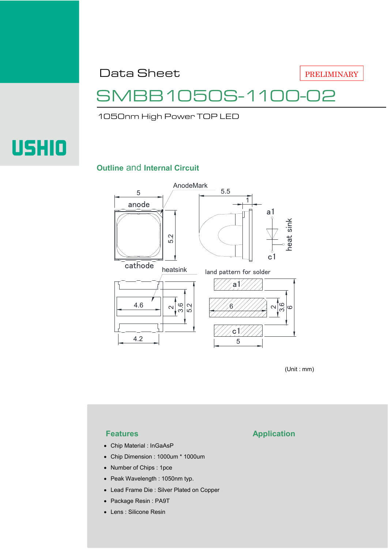Data Sheet

PRELIMINARY

## SMBB1050S-1100-02

1050nm High Power TOP LED

# **USHIO**

#### **Outline** and **Internal Circuit**



(Unit : mm)

- Chip Material : InGaAsP
- Chip Dimension : 1000um \* 1000um
- Number of Chips : 1pce
- Peak Wavelength : 1050nm typ.
- Lead Frame Die : Silver Plated on Copper
- Package Resin : PA9T
- Lens : Silicone Resin

#### **Features Application**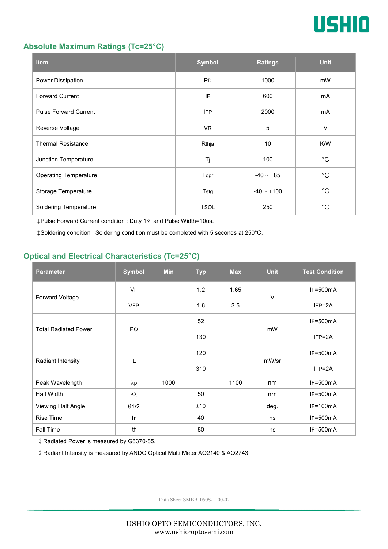

#### **Absolute Maximum Ratings (Tc=25°C)**

| <b>Item</b>                  | <b>Symbol</b> | <b>Ratings</b> | <b>Unit</b> |
|------------------------------|---------------|----------------|-------------|
| Power Dissipation            | <b>PD</b>     | 1000           | mW          |
| <b>Forward Current</b>       | IF            | 600            | mA          |
| <b>Pulse Forward Current</b> | <b>IFP</b>    | 2000           | mA          |
| Reverse Voltage              | VR.           | $\sqrt{5}$     | $\vee$      |
| <b>Thermal Resistance</b>    | Rthja         | 10             | K/W         |
| Junction Temperature         | Tj            | 100            | $^{\circ}C$ |
| <b>Operating Temperature</b> | Topr          | $-40 - +85$    | $^{\circ}C$ |
| Storage Temperature          | Tstg          | $-40 - +100$   | $^{\circ}C$ |
| <b>Soldering Temperature</b> | <b>TSOL</b>   | 250            | $^{\circ}C$ |

‡Pulse Forward Current condition : Duty 1% and Pulse Width=10us.

‡Soldering condition : Soldering condition must be completed with 5 seconds at 250°C.

#### **Optical and Electrical Characteristics (Tc=25°C)**

| <b>Parameter</b>            | <b>Symbol</b>    | <b>Min</b> | <b>Typ</b> | <b>Max</b> | <b>Unit</b> | <b>Test Condition</b> |
|-----------------------------|------------------|------------|------------|------------|-------------|-----------------------|
| Forward Voltage             | <b>VF</b>        |            | 1.2        | 1.65       | $\vee$      | $IF=500mA$            |
|                             | <b>VFP</b>       |            | 1.6        | 3.5        |             | $IFP = 2A$            |
| <b>Total Radiated Power</b> | P <sub>O</sub>   |            | 52         |            | mW          | $IF=500mA$            |
|                             |                  |            | 130        |            |             | $IFP = 2A$            |
| Radiant Intensity           | IE               |            | 120        |            | mW/sr       | $IF=500mA$            |
|                             |                  |            | 310        |            |             | $IFP = 2A$            |
| Peak Wavelength             | $\lambda$ p      | 1000       |            | 1100       | nm          | $IF=500mA$            |
| <b>Half Width</b>           | $\Delta \lambda$ |            | 50         |            | nm          | $IF=500mA$            |
| Viewing Half Angle          | $\theta$ 1/2     |            | ±10        |            | deg.        | $IF=100mA$            |
| <b>Rise Time</b>            | tr               |            | 40         |            | ns          | $IF=500mA$            |
| Fall Time                   | tf               |            | 80         |            | ns          | $IF=500mA$            |

‡Radiated Power is measured by G8370-85.

‡Radiant Intensity is measured by ANDO Optical Multi Meter AQ2140 & AQ2743.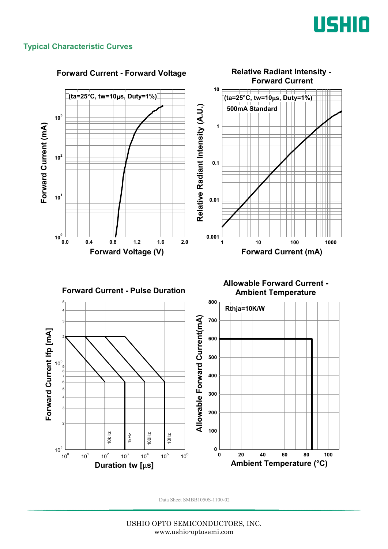

#### **Typical Characteristic Curves**

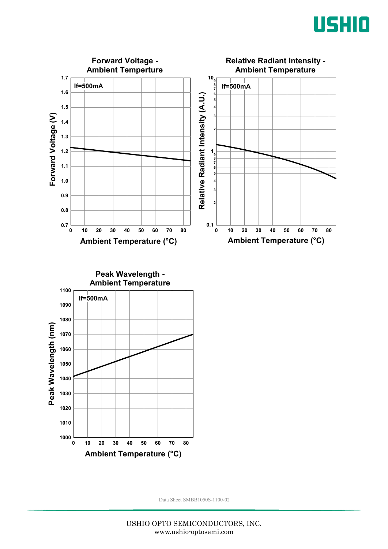



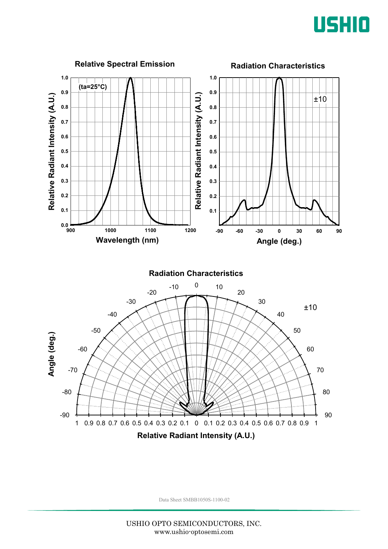

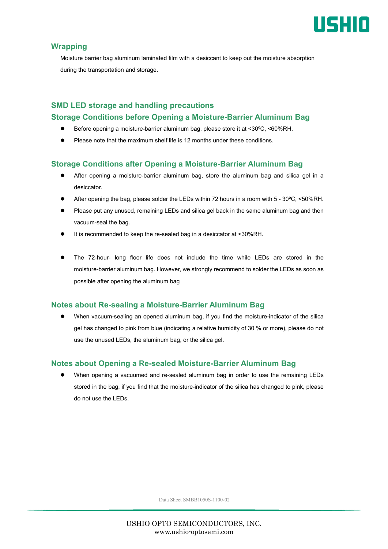

#### **Wrapping**

Moisture barrier bag aluminum laminated film with a desiccant to keep out the moisture absorption during the transportation and storage.

### **SMD LED storage and handling precautions Storage Conditions before Opening a Moisture-Barrier Aluminum Bag**

- Before opening a moisture-barrier aluminum bag, please store it at <30ºC, <60%RH.
- Please note that the maximum shelf life is 12 months under these conditions.

#### **Storage Conditions after Opening a Moisture-Barrier Aluminum Bag**

- After opening a moisture-barrier aluminum bag, store the aluminum bag and silica gel in a desiccator.
- After opening the bag, please solder the LEDs within 72 hours in a room with 5 30ºC, <50%RH.
- Please put any unused, remaining LEDs and silica gel back in the same aluminum bag and then vacuum-seal the bag.
- It is recommended to keep the re-sealed bag in a desiccator at <30%RH.
- The 72-hour- long floor life does not include the time while LEDs are stored in the moisture-barrier aluminum bag. However, we strongly recommend to solder the LEDs as soon as possible after opening the aluminum bag

#### **Notes about Re-sealing a Moisture-Barrier Aluminum Bag**

 When vacuum-sealing an opened aluminum bag, if you find the moisture-indicator of the silica gel has changed to pink from blue (indicating a relative humidity of 30 % or more), please do not use the unused LEDs, the aluminum bag, or the silica gel.

#### **Notes about Opening a Re-sealed Moisture-Barrier Aluminum Bag**

 When opening a vacuumed and re-sealed aluminum bag in order to use the remaining LEDs stored in the bag, if you find that the moisture-indicator of the silica has changed to pink, please do not use the LEDs.